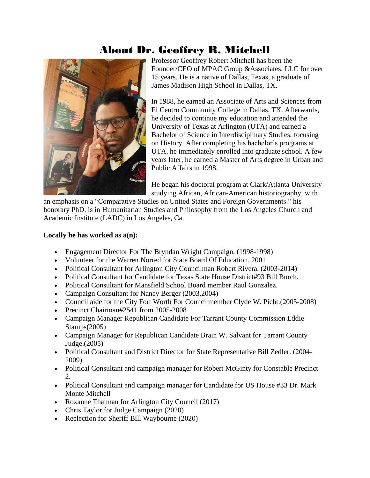# About Dr. Geoffrey R. Mitchell



Professor Geoffrey Robert Mitchell has been the Founder/CEO of MPAC Group &Associates, LLC for over 15 years. He is a native of Dallas, Texas, a graduate of James Madison High School in Dallas, TX.

In 1988, he earned an Associate of Arts and Sciences from El Centro Community College in Dallas, TX. Afterwards, he decided to continue my education and attended the University of Texas at Arlington (UTA) and earned a Bachelor of Science in Interdisciplinary Studies, focusing on History. After completing his bachelor's programs at UTA, he immediately enrolled into graduate school. A few years later, he earned a Master of Arts degree in Urban and Public Affairs in 1998.

He began his doctoral program at Clark/Atlanta University studying African, African-American historiography, with

an emphasis on a "Comparative Studies on United States and Foreign Governments." his honorary PhD. is in Humanitarian Studies and Philosophy from the Los Angeles Church and Academic Institute (LADC) in Los Angeles, Ca.

#### **Locally he has worked as a(n):**

- Engagement Director For The Bryndan Wright Campaign. (1998-1998)
- Volunteer for the Warren Norred for State Board Of Education. 2001
- Political Consultant for Arlington City Councilman Robert Rivera. (2003-2014)
- Political Consultant for Candidate for Texas State House District#93 Bill Burch.
- Political Consultant for Mansfield School Board member Raul Gonzalez.
- Campaign Consultant for Nancy Berger (2003, 2004)
- Council aide for the City Fort Worth For Councilmember Clyde W. Picht.(2005-2008)
- Precinct Chairman#2541 from 2005-2008
- Campaign Manager Republican Candidate For Tarrant County Commission Eddie Stamps(2005)
- Campaign Manager for Republican Candidate Brain W. Salvant for Tarrant County Judge.(2005)
- Political Consultant and District Director for State Representative Bill Zedler. (2004- 2009)
- Political Consultant and campaign manager for Robert McGinty for Constable Precinct 2.
- Political Consultant and campaign manager for Candidate for US House #33 Dr. Mark Monte Mitchell
- Roxanne Thalman for Arlington City Council (2017)
- Chris Taylor for Judge Campaign (2020)
- Reelection for Sheriff Bill Waybourne (2020)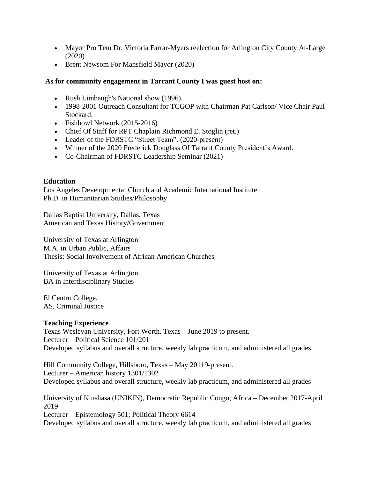- Mayor Pro Tem Dr. Victoria Farrar-Myers reelection for Arlington City County At-Large (2020)
- Brent Newsom For Mansfield Mayor (2020)

#### **As for community engagement in Tarrant County I was guest host on:**

- Rush Limbaugh's National show (1996).
- 1998-2001 Outreach Consultant for TCGOP with Chairman Pat Carlson/ Vice Chair Paul Stockard.
- Fishbowl Network (2015-2016)
- Chief Of Staff for RPT Chaplain Richmond E. Stoglin (ret.)
- Leader of the FDRSTC "Street Team". (2020-present)
- Winner of the 2020 Frederick Douglass Of Tarrant County President's Award.
- Co-Chairman of FDRSTC Leadership Seminar (2021)

#### **Education**

Los Angeles Developmental Church and Academic International Institute Ph.D. in Humanitarian Studies/Philosophy

Dallas Baptist University, Dallas, Texas American and Texas History/Government

University of Texas at Arlington M.A. in Urban Public, Affairs Thesis: Social Involvement of African American Churches

University of Texas at Arlington BA in Interdisciplinary Studies

El Centro College, AS, Criminal Justice

#### **Teaching Experience**

Texas Wesleyan University, Fort Worth. Texas – June 2019 to present. Lecturer – Political Science 101/201 Developed syllabus and overall structure, weekly lab practicum, and administered all grades.

Hill Community College, Hillsboro, Texas – May 20119-present. Lecturer – American history 1301/1302 Developed syllabus and overall structure, weekly lab practicum, and administered all grades

University of Kinshasa (UNIKIN), Democratic Republic Congo, Africa – December 2017-April 2019 Lecturer – Epistemology 501; Political Theory 6614 Developed syllabus and overall structure, weekly lab practicum, and administered all grades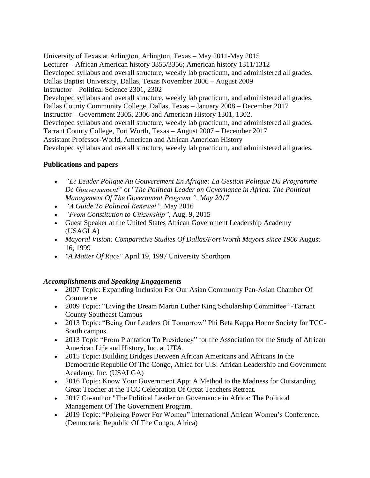University of Texas at Arlington, Arlington, Texas – May 2011-May 2015 Lecturer – African American history 3355/3356; American history 1311/1312 Developed syllabus and overall structure, weekly lab practicum, and administered all grades. Dallas Baptist University, Dallas, Texas November 2006 – August 2009 Instructor – Political Science 2301, 2302 Developed syllabus and overall structure, weekly lab practicum, and administered all grades. Dallas County Community College, Dallas, Texas – January 2008 – December 2017 Instructor – Government 2305, 2306 and American History 1301, 1302. Developed syllabus and overall structure, weekly lab practicum, and administered all grades. Tarrant County College, Fort Worth, Texas – August 2007 – December 2017 Assistant Professor-World, American and African American History Developed syllabus and overall structure, weekly lab practicum, and administered all grades.

### **Publications and papers**

- *"Le Leader Polique Au Gouverement En Afrique: La Gestion Politque Du Programme De Gouvernement"* or "*The Political Leader on Governance in Africa: The Political Management Of The Government Program.". May 2017*
- *"A Guide To Political Renewal",* May 2016
- *"From Constitution to Citizenship",* Aug. 9, 2015
- Guest Speaker at the United States African Government Leadership Academy (USAGLA)
- *Mayoral Vision: Comparative Studies Of Dallas/Fort Worth Mayors since 1960* August 16, 1999
- *"A Matter Of Race"* April 19, 1997 University Shorthorn

#### *Accomplishments and Speaking Engagements*

- 2007 Topic: Expanding Inclusion For Our Asian Community Pan-Asian Chamber Of **Commerce**
- 2009 Topic: "Living the Dream Martin Luther King Scholarship Committee" -Tarrant County Southeast Campus
- 2013 Topic: "Being Our Leaders Of Tomorrow" Phi Beta Kappa Honor Society for TCC-South campus.
- 2013 Topic "From Plantation To Presidency" for the Association for the Study of African American Life and History, Inc. at UTA.
- 2015 Topic: Building Bridges Between African Americans and Africans In the Democratic Republic Of The Congo, Africa for U.S. African Leadership and Government Academy, Inc. (USALGA)
- 2016 Topic: Know Your Government App: A Method to the Madness for Outstanding Great Teacher at the TCC Celebration Of Great Teachers Retreat.
- 2017 Co-author "The Political Leader on Governance in Africa: The Political Management Of The Government Program.
- 2019 Topic: "Policing Power For Women" International African Women's Conference. (Democratic Republic Of The Congo, Africa)